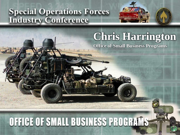#### **Special Operations Forces Industry Conference**



### **Chris Harrington**

**Office of Small Business Programs**

## **OFFICE OF SMALL BUSINESS PROGRAMS**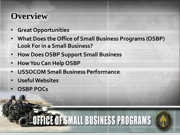#### **Overview**

- **Great Opportunities**
- **What Does the Office of Small Business Programs (OSBP) Look For in a Small Business?**
- **How Does OSBP Support Small Business**
- **How You Can Help OSBP**
- **USSOCOM Small Business Performance**
- **Useful Websites**
- **OSBP POCs**

# OFFICE OF SMALL BUSINESS PROGRAMS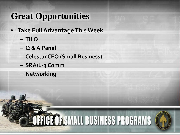#### **Great Opportunities**

- **Take Full Advantage This Week**
	- **TILO**
	- **Q & A Panel**
	- **Celestar CEO (Small Business)**

OFFICE OF SMALL BUSINESS PROGRAMS

- **SRA/L-3 Comm**
- **Networking**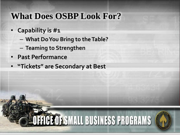#### **What Does OSBP Look For?**

- **Capability is #1**
	- **What Do You Bring to the Table?**

**HIGE OF SMALL BUSINESS PROGRAMS** 

- **Teaming to Strengthen**
- **Past Performance**
- **"Tickets" are Secondary at Best**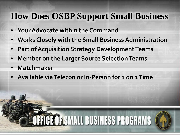#### **How Does OSBP Support Small Business**

- **Your Advocate within the Command**
- **Works Closely with the Small Business Administration**

**FFICE OF SMALL BUSINESS PROGRAMS** 

- **Part of Acquisition Strategy Development Teams**
- **Member on the Larger Source Selection Teams**
- **Matchmaker**
- **Available via Telecon or In-Person for 1 on 1 Time**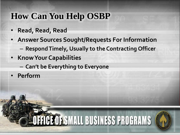#### **How Can You Help OSBP**

- **Read, Read, Read**
- **Answer Sources Sought/Requests For Information**
	- **Respond Timely, Usually to the Contracting Officer**

**FICE OF SMALL BUSINESS PROGRAMS** 

- **Know Your Capabilities**
	- **Can't be Everything to Everyone**
- **Perform**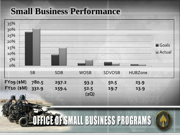#### **Small Business Performance**